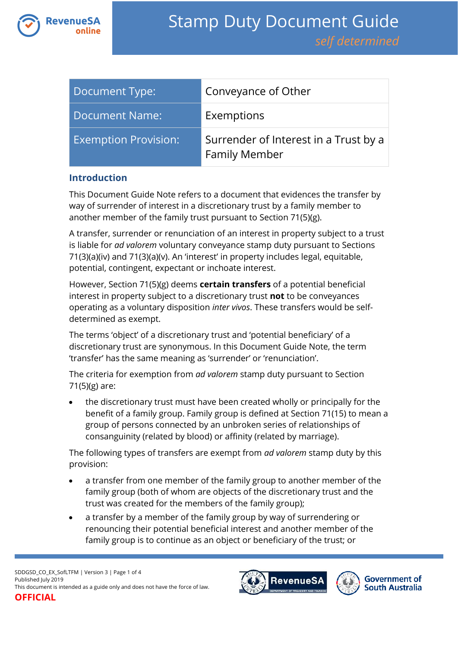

| Document Type:              | Conveyance of Other                                           |
|-----------------------------|---------------------------------------------------------------|
| Document Name:              | Exemptions                                                    |
| <b>Exemption Provision:</b> | Surrender of Interest in a Trust by a<br><b>Family Member</b> |

### **Introduction**

This Document Guide Note refers to a document that evidences the transfer by way of surrender of interest in a discretionary trust by a family member to another member of the family trust pursuant to Section 71(5)(g).

A transfer, surrender or renunciation of an interest in property subject to a trust is liable for *ad valorem* voluntary conveyance stamp duty pursuant to Sections 71(3)(a)(iv) and 71(3)(a)(v). An 'interest' in property includes legal, equitable, potential, contingent, expectant or inchoate interest.

However, Section 71(5)(g) deems **certain transfers** of a potential beneficial interest in property subject to a discretionary trust **not** to be conveyances operating as a voluntary disposition *inter vivos*. These transfers would be selfdetermined as exempt.

The terms 'object' of a discretionary trust and 'potential beneficiary' of a discretionary trust are synonymous. In this Document Guide Note, the term 'transfer' has the same meaning as 'surrender' or 'renunciation'.

The criteria for exemption from *ad valorem* stamp duty pursuant to Section 71(5)(g) are:

 the discretionary trust must have been created wholly or principally for the benefit of a family group. Family group is defined at Section 71(15) to mean a group of persons connected by an unbroken series of relationships of consanguinity (related by blood) or affinity (related by marriage).

The following types of transfers are exempt from *ad valorem* stamp duty by this provision:

- a transfer from one member of the family group to another member of the family group (both of whom are objects of the discretionary trust and the trust was created for the members of the family group);
- a transfer by a member of the family group by way of surrendering or renouncing their potential beneficial interest and another member of the family group is to continue as an object or beneficiary of the trust; or



**Government of South Australia**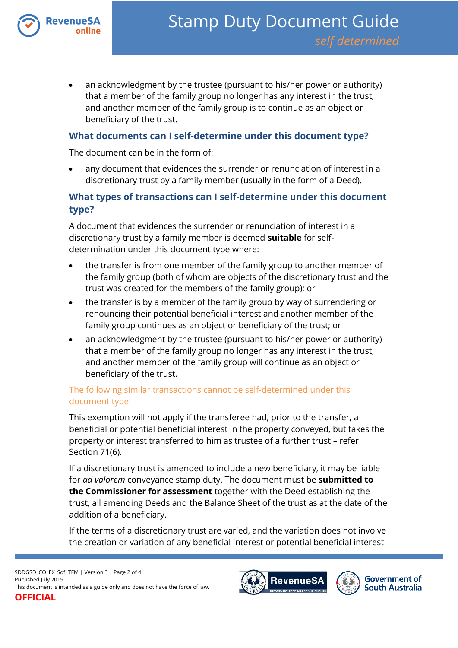

 an acknowledgment by the trustee (pursuant to his/her power or authority) that a member of the family group no longer has any interest in the trust, and another member of the family group is to continue as an object or beneficiary of the trust.

### **What documents can I self-determine under this document type?**

The document can be in the form of:

 any document that evidences the surrender or renunciation of interest in a discretionary trust by a family member (usually in the form of a Deed).

# **What types of transactions can I self-determine under this document type?**

A document that evidences the surrender or renunciation of interest in a discretionary trust by a family member is deemed **suitable** for selfdetermination under this document type where:

- the transfer is from one member of the family group to another member of the family group (both of whom are objects of the discretionary trust and the trust was created for the members of the family group); or
- the transfer is by a member of the family group by way of surrendering or renouncing their potential beneficial interest and another member of the family group continues as an object or beneficiary of the trust; or
- an acknowledgment by the trustee (pursuant to his/her power or authority) that a member of the family group no longer has any interest in the trust, and another member of the family group will continue as an object or beneficiary of the trust.

## The following similar transactions cannot be self-determined under this document type:

This exemption will not apply if the transferee had, prior to the transfer, a beneficial or potential beneficial interest in the property conveyed, but takes the property or interest transferred to him as trustee of a further trust – refer Section 71(6).

If a discretionary trust is amended to include a new beneficiary, it may be liable for *ad valorem* conveyance stamp duty. The document must be **submitted to the Commissioner for assessment** together with the Deed establishing the trust, all amending Deeds and the Balance Sheet of the trust as at the date of the addition of a beneficiary.

If the terms of a discretionary trust are varied, and the variation does not involve the creation or variation of any beneficial interest or potential beneficial interest

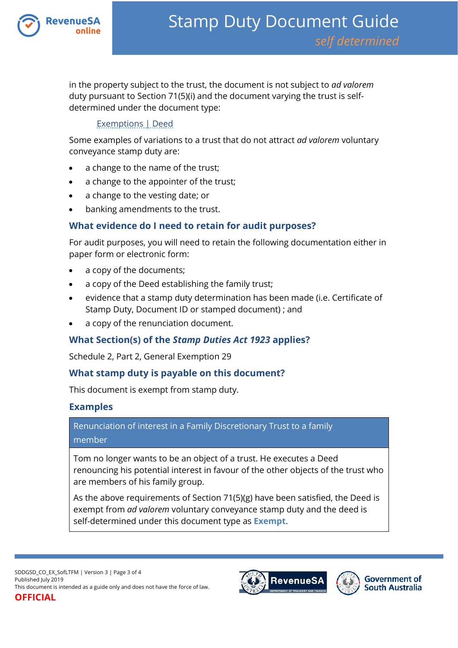

in the property subject to the trust, the document is not subject to *ad valorem*  duty pursuant to Section 71(5)(i) and the document varying the trust is selfdetermined under the document type:

### [Exemptions | Deed](https://www.revenuesa.sa.gov.au/stampduty/stamp-duty-document-guide/self-determined/exemptions/sddgsd_ex_d)

Some examples of variations to a trust that do not attract *ad valorem* voluntary conveyance stamp duty are:

- a change to the name of the trust;
- a change to the appointer of the trust;
- a change to the vesting date; or
- banking amendments to the trust.

# **What evidence do I need to retain for audit purposes?**

For audit purposes, you will need to retain the following documentation either in paper form or electronic form:

- a copy of the documents;
- a copy of the Deed establishing the family trust;
- evidence that a stamp duty determination has been made (i.e. Certificate of Stamp Duty, Document ID or stamped document) ; and
- a copy of the renunciation document.

# **What Section(s) of the** *Stamp Duties Act 1923* **applies?**

Schedule 2, Part 2, General Exemption 29

## **What stamp duty is payable on this document?**

This document is exempt from stamp duty.

## **Examples**

Renunciation of interest in a Family Discretionary Trust to a family member

Tom no longer wants to be an object of a trust. He executes a Deed renouncing his potential interest in favour of the other objects of the trust who are members of his family group.

As the above requirements of Section 71(5)(g) have been satisfied, the Deed is exempt from *ad valorem* voluntary conveyance stamp duty and the deed is self-determined under this document type as **Exempt**.